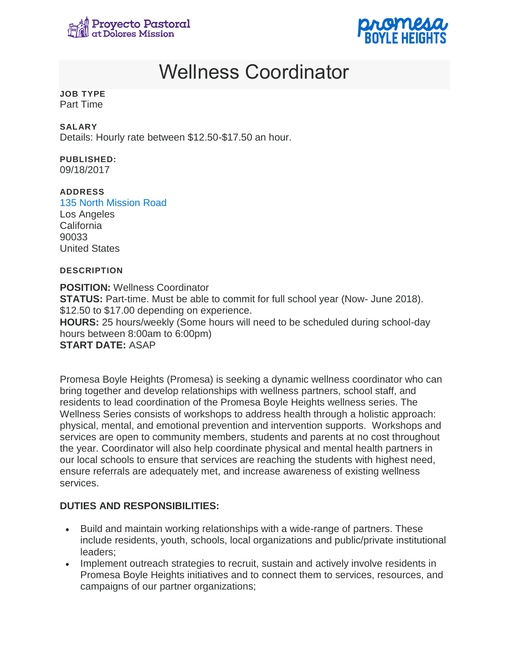



# Wellness Coordinator

#### **JOB TYPE** Part Time

## **SALARY**

Details: Hourly rate between \$12.50-\$17.50 an hour.

# **PUBLISHED:**

09/18/2017

## **ADDRESS**

[135 North Mission Road](https://www.google.com/maps/place/34.048896,-118.227976) Los Angeles California 90033 United States

## **DESCRIPTION**

**POSITION:** Wellness Coordinator **STATUS:** Part-time. Must be able to commit for full school year (Now- June 2018). \$12.50 to \$17.00 depending on experience. **HOURS:** 25 hours/weekly (Some hours will need to be scheduled during school-day hours between 8:00am to 6:00pm) **START DATE:** ASAP

Promesa Boyle Heights (Promesa) is seeking a dynamic wellness coordinator who can bring together and develop relationships with wellness partners, school staff, and residents to lead coordination of the Promesa Boyle Heights wellness series. The Wellness Series consists of workshops to address health through a holistic approach: physical, mental, and emotional prevention and intervention supports. Workshops and services are open to community members, students and parents at no cost throughout the year. Coordinator will also help coordinate physical and mental health partners in our local schools to ensure that services are reaching the students with highest need, ensure referrals are adequately met, and increase awareness of existing wellness services.

# **DUTIES AND RESPONSIBILITIES:**

- Build and maintain working relationships with a wide-range of partners. These include residents, youth, schools, local organizations and public/private institutional leaders;
- Implement outreach strategies to recruit, sustain and actively involve residents in Promesa Boyle Heights initiatives and to connect them to services, resources, and campaigns of our partner organizations;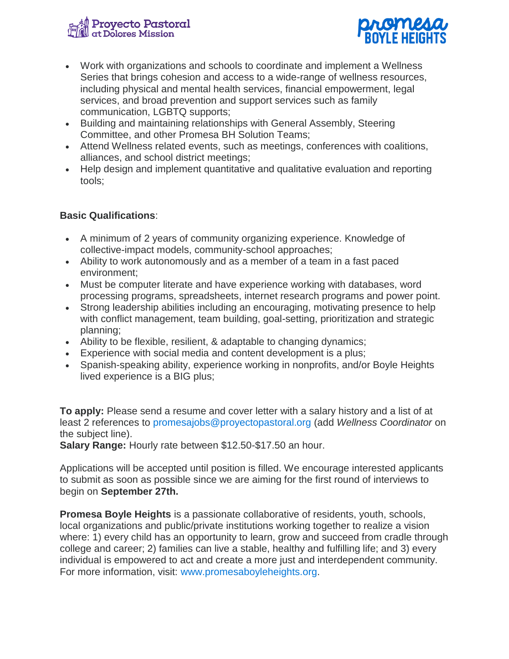



- Work with organizations and schools to coordinate and implement a Wellness Series that brings cohesion and access to a wide-range of wellness resources, including physical and mental health services, financial empowerment, legal services, and broad prevention and support services such as family communication, LGBTQ supports;
- Building and maintaining relationships with General Assembly, Steering Committee, and other Promesa BH Solution Teams;
- Attend Wellness related events, such as meetings, conferences with coalitions, alliances, and school district meetings;
- Help design and implement quantitative and qualitative evaluation and reporting tools;

# **Basic Qualifications**:

- A minimum of 2 years of community organizing experience. Knowledge of collective-impact models, community-school approaches;
- Ability to work autonomously and as a member of a team in a fast paced environment;
- Must be computer literate and have experience working with databases, word processing programs, spreadsheets, internet research programs and power point.
- Strong leadership abilities including an encouraging, motivating presence to help with conflict management, team building, goal-setting, prioritization and strategic planning;
- Ability to be flexible, resilient, & adaptable to changing dynamics;
- Experience with social media and content development is a plus;
- Spanish-speaking ability, experience working in nonprofits, and/or Boyle Heights lived experience is a BIG plus;

**To apply:** Please send a resume and cover letter with a salary history and a list of at least 2 references to [promesajobs@proyectopastoral.org](mailto:promesajobs@proyectopastoral.org) (add *Wellness Coordinator* on the subject line).

**Salary Range:** Hourly rate between \$12.50-\$17.50 an hour.

Applications will be accepted until position is filled. We encourage interested applicants to submit as soon as possible since we are aiming for the first round of interviews to begin on **September 27th.**

**Promesa Boyle Heights** is a passionate collaborative of residents, youth, schools, local organizations and public/private institutions working together to realize a vision where: 1) every child has an opportunity to learn, grow and succeed from cradle through college and career; 2) families can live a stable, healthy and fulfilling life; and 3) every individual is empowered to act and create a more just and interdependent community. For more information, visit: [www.promesaboyleheights.org.](http://www.promesaboyleheights.org/)